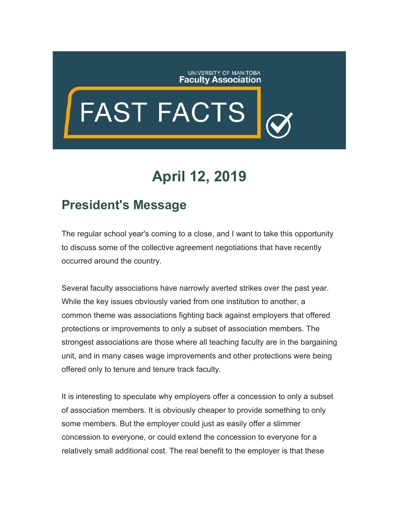## UNIVERSITY OF MANITOBA<br>**Faculty Association**

## FAST FACTS

## **April 12, 2019**

## **President's Message**

The regular school year's coming to a close, and I want to take this opportunity to discuss some of the collective agreement negotiations that have recently occurred around the country.

Several faculty associations have narrowly averted strikes over the past year. While the key issues obviously varied from one institution to another, a common theme was associations fighting back against employers that offered protections or improvements to only a subset of association members. The strongest associations are those where all teaching faculty are in the bargaining unit, and in many cases wage improvements and other protections were being offered only to tenure and tenure track faculty.

It is interesting to speculate why employers offer a concession to only a subset of association members. It is obviously cheaper to provide something to only some members. But the employer could just as easily offer a slimmer concession to everyone, or could extend the concession to everyone for a relatively small additional cost. The real benefit to the employer is that these